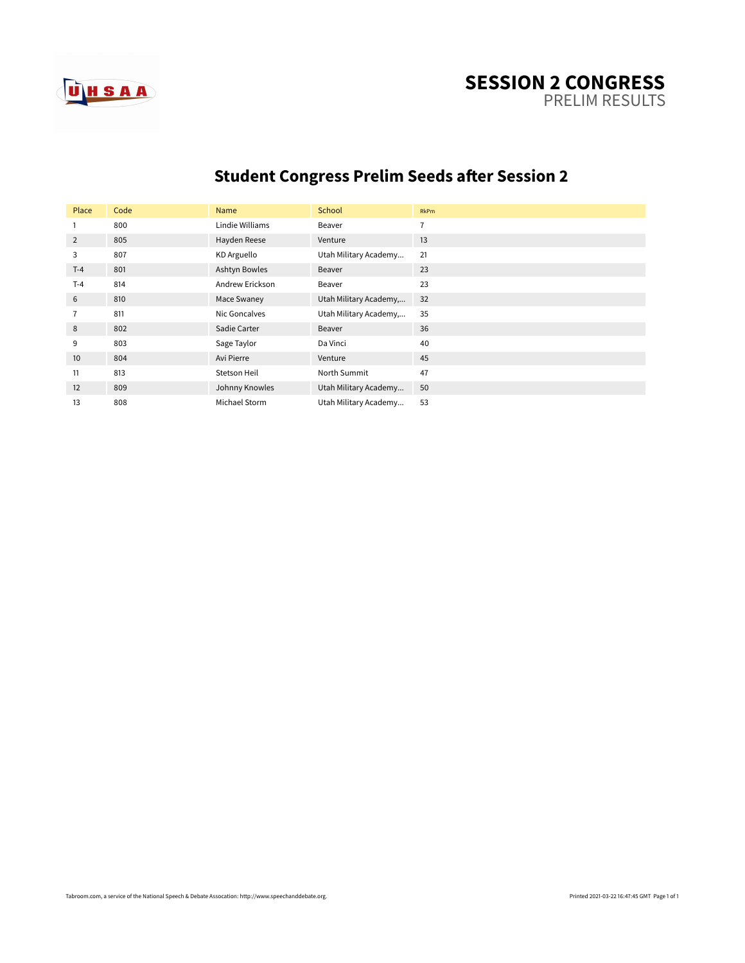

#### **SESSION 2 CONGRESS** PRELIM RESULTS

# **Student Congress Prelim Seeds after Session 2**

| Place          | Code | Name            | School                 | <b>RkPm</b>    |
|----------------|------|-----------------|------------------------|----------------|
| 1              | 800  | Lindie Williams | Beaver                 | $\overline{7}$ |
| 2              | 805  | Hayden Reese    | Venture                | 13             |
| 3              | 807  | KD Arguello     | Utah Military Academy  | 21             |
| $T-4$          | 801  | Ashtyn Bowles   | Beaver                 | 23             |
| $T-4$          | 814  | Andrew Erickson | Beaver                 | 23             |
| 6              | 810  | Mace Swaney     | Utah Military Academy, | 32             |
| $\overline{7}$ | 811  | Nic Goncalves   | Utah Military Academy, | 35             |
| 8              | 802  | Sadie Carter    | Beaver                 | 36             |
| 9              | 803  | Sage Taylor     | Da Vinci               | 40             |
| 10             | 804  | Avi Pierre      | Venture                | 45             |
| 11             | 813  | Stetson Heil    | North Summit           | 47             |
| 12             | 809  | Johnny Knowles  | Utah Military Academy  | 50             |
| 13             | 808  | Michael Storm   | Utah Military Academy  | 53             |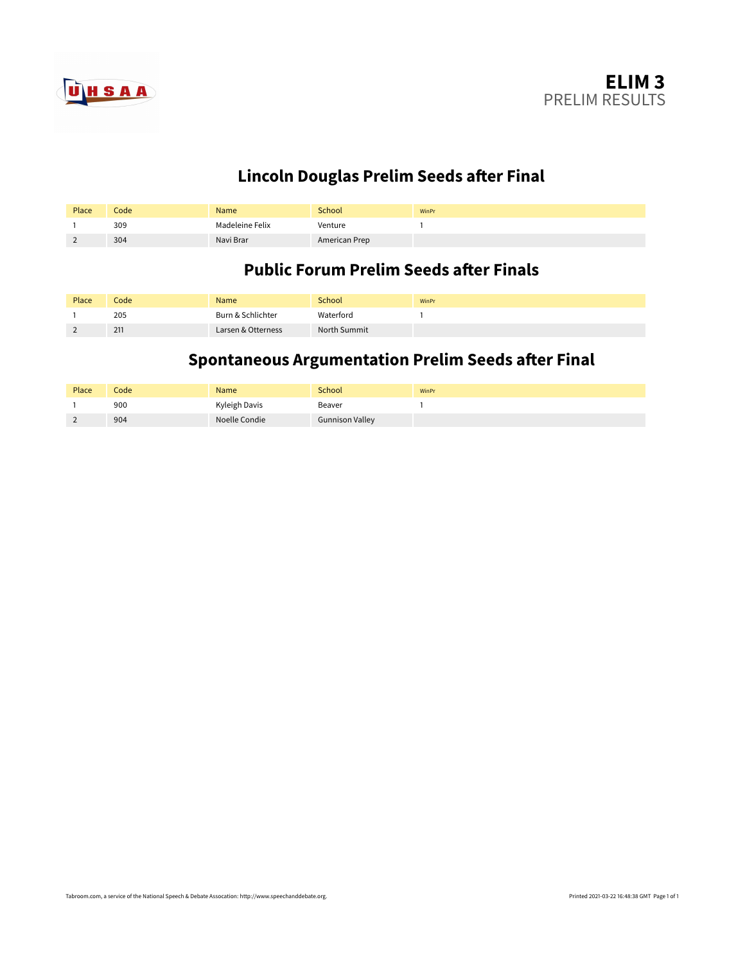

# **Lincoln Douglas Prelim Seeds after Final**

| Place                    | Code | Name            | School        | WinPr |
|--------------------------|------|-----------------|---------------|-------|
|                          | 309  | Madeleine Felix | Venture       |       |
| $\overline{\phantom{a}}$ | 304  | Navi Brar       | American Prep |       |

#### **Public Forum Prelim Seeds after Finals**

| Place | Code | Name               | School       | WinPr |
|-------|------|--------------------|--------------|-------|
|       | 205  | Burn & Schlichter  | Waterford    |       |
|       | 211  | Larsen & Otterness | North Summit |       |

# **Spontaneous Argumentation Prelim Seeds after Final**

| Place | Codel | Name          | School                 | WinPr |
|-------|-------|---------------|------------------------|-------|
|       | 900   | Kyleigh Davis | Beaver                 |       |
|       | 904   | Noelle Condie | <b>Gunnison Valley</b> |       |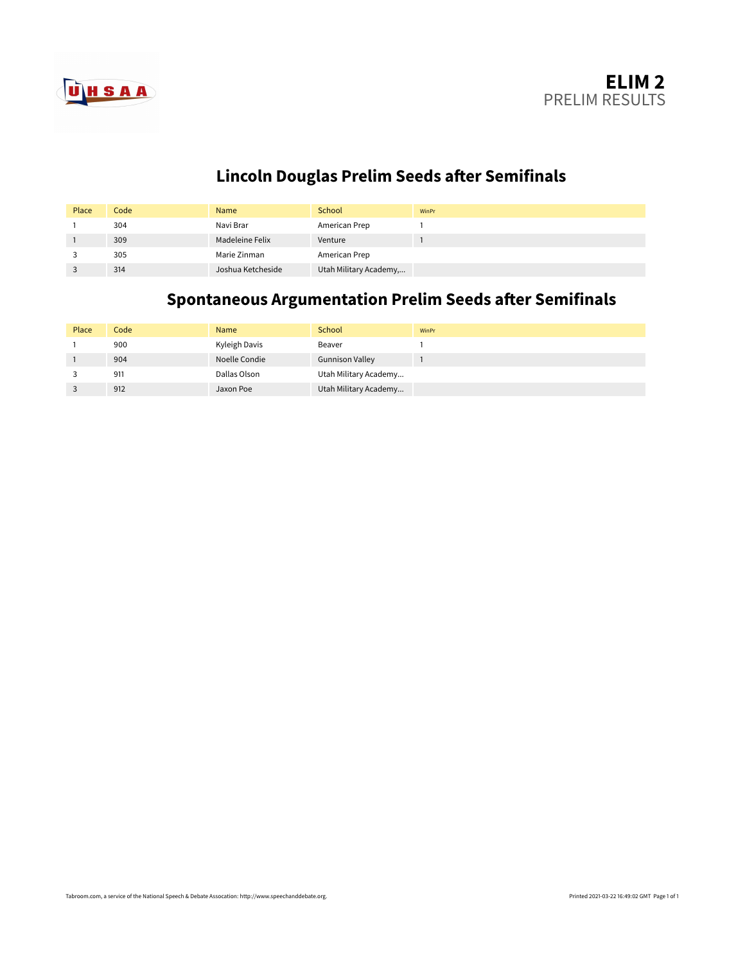

# **Lincoln Douglas Prelim Seeds after Semifinals**

| Place | Code | Name              | School                 | WinPr |
|-------|------|-------------------|------------------------|-------|
|       | 304  | Navi Brar         | American Prep          |       |
|       | 309  | Madeleine Felix   | Venture                |       |
|       | 305  | Marie Zinman      | American Prep          |       |
|       | 314  | Joshua Ketcheside | Utah Military Academy, |       |

# **Spontaneous Argumentation Prelim Seeds after Semifinals**

| Place | Code | <b>Name</b>   | School                 | WinPr |
|-------|------|---------------|------------------------|-------|
|       | 900  | Kyleigh Davis | Beaver                 |       |
|       | 904  | Noelle Condie | <b>Gunnison Valley</b> |       |
|       | 911  | Dallas Olson  | Utah Military Academy  |       |
|       | 912  | Jaxon Poe     | Utah Military Academy  |       |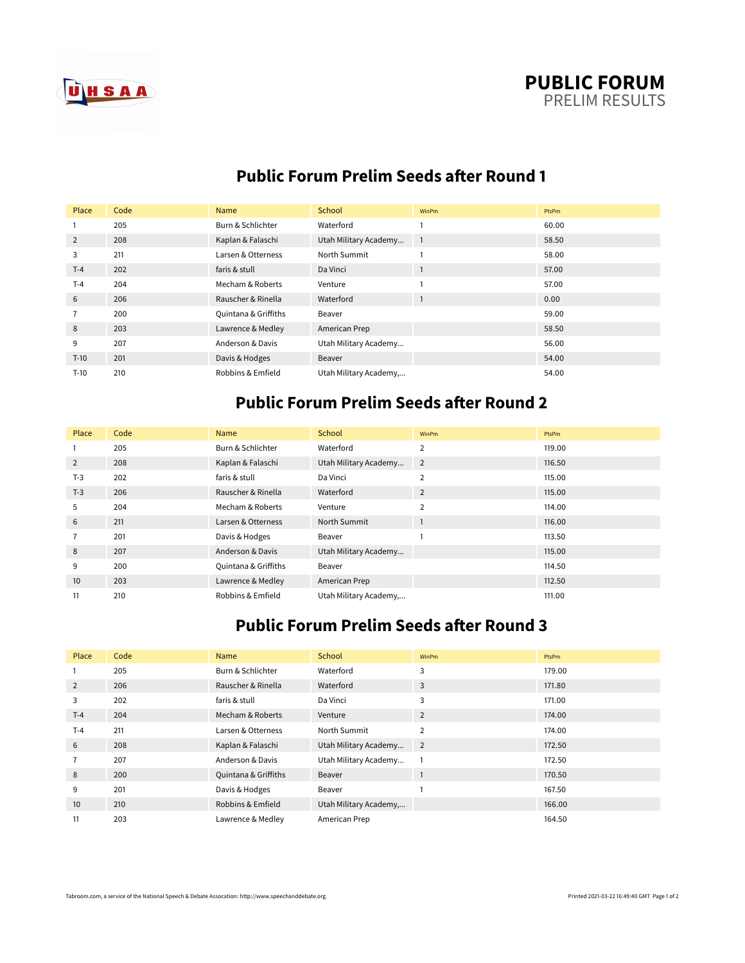



#### **Public Forum Prelim Seeds after Round 1**

| Place          | Code | Name                 | School                 | WinPm          | PtsPm |
|----------------|------|----------------------|------------------------|----------------|-------|
|                | 205  | Burn & Schlichter    | Waterford              |                | 60.00 |
| 2              | 208  | Kaplan & Falaschi    | Utah Military Academy  | $\overline{1}$ | 58.50 |
| 3              | 211  | Larsen & Otterness   | North Summit           |                | 58.00 |
| $T-4$          | 202  | faris & stull        | Da Vinci               |                | 57.00 |
| $T-4$          | 204  | Mecham & Roberts     | Venture                |                | 57.00 |
| 6              | 206  | Rauscher & Rinella   | Waterford              |                | 0.00  |
| $\overline{7}$ | 200  | Quintana & Griffiths | Beaver                 |                | 59.00 |
| 8              | 203  | Lawrence & Medley    | American Prep          |                | 58.50 |
| 9              | 207  | Anderson & Davis     | Utah Military Academy  |                | 56.00 |
| $T-10$         | 201  | Davis & Hodges       | Beaver                 |                | 54.00 |
| $T-10$         | 210  | Robbins & Emfield    | Utah Military Academy, |                | 54.00 |

### **Public Forum Prelim Seeds after Round 2**

| Place | Code | Name                 | School                | WinPm          | PtsPm  |
|-------|------|----------------------|-----------------------|----------------|--------|
|       | 205  | Burn & Schlichter    | Waterford             | $\overline{2}$ | 119.00 |
| 2     | 208  | Kaplan & Falaschi    | Utah Military Academy | $\overline{2}$ | 116.50 |
| $T-3$ | 202  | faris & stull        | Da Vinci              | $\overline{2}$ | 115.00 |
| $T-3$ | 206  | Rauscher & Rinella   | Waterford             | $\overline{2}$ | 115.00 |
| 5     | 204  | Mecham & Roberts     | Venture               | $\overline{2}$ | 114.00 |
| 6     | 211  | Larsen & Otterness   | North Summit          |                | 116.00 |
| 7     | 201  | Davis & Hodges       | Beaver                |                | 113.50 |
| 8     | 207  | Anderson & Davis     | Utah Military Academy |                | 115.00 |
| 9     | 200  | Quintana & Griffiths | Beaver                |                | 114.50 |
| 10    | 203  | Lawrence & Medley    | American Prep         |                | 112.50 |
| 11    | 210  | Robbins & Emfield    | Utah Military Academy |                | 111.00 |

# **Public Forum Prelim Seeds after Round 3**

| Place | Code | Name                 | School                 | WinPm          | PtsPm  |
|-------|------|----------------------|------------------------|----------------|--------|
|       | 205  | Burn & Schlichter    | Waterford              | 3              | 179.00 |
| 2     | 206  | Rauscher & Rinella   | Waterford              | 3              | 171.80 |
| 3     | 202  | faris & stull        | Da Vinci               | 3              | 171.00 |
| $T-4$ | 204  | Mecham & Roberts     | Venture                | 2              | 174.00 |
| $T-4$ | 211  | Larsen & Otterness   | North Summit           | $\overline{2}$ | 174.00 |
| 6     | 208  | Kaplan & Falaschi    | Utah Military Academy  | $\overline{2}$ | 172.50 |
|       | 207  | Anderson & Davis     | Utah Military Academy  |                | 172.50 |
| 8     | 200  | Quintana & Griffiths | Beaver                 |                | 170.50 |
| 9     | 201  | Davis & Hodges       | Beaver                 |                | 167.50 |
| 10    | 210  | Robbins & Emfield    | Utah Military Academy, |                | 166.00 |
| 11    | 203  | Lawrence & Medley    | American Prep          |                | 164.50 |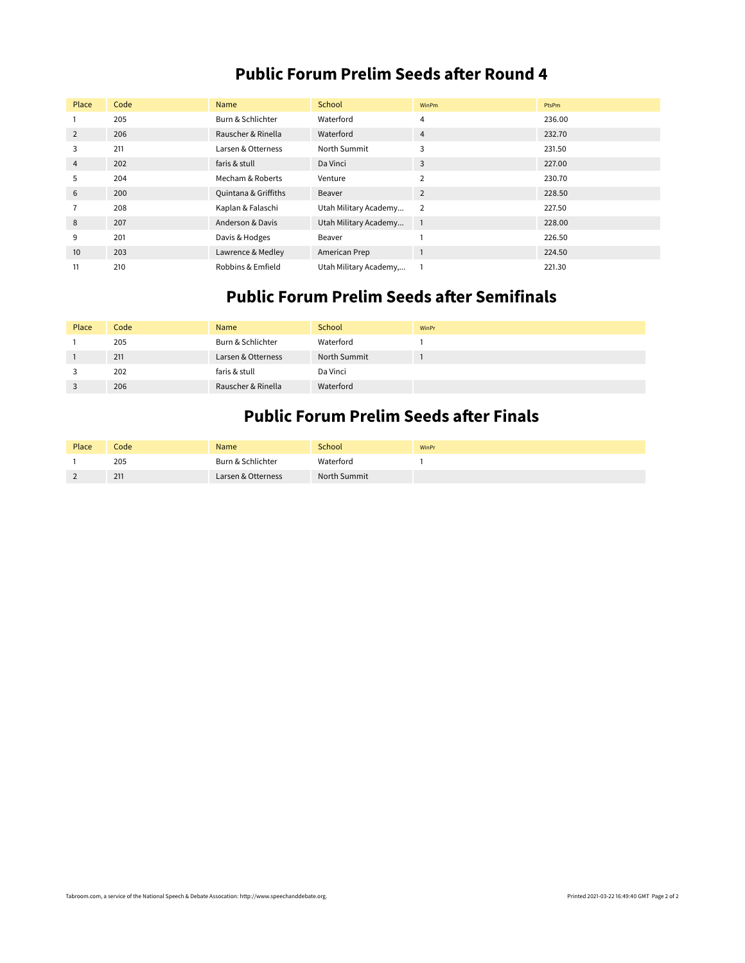#### **Public Forum Prelim Seeds after Round 4**

| Place | Code | Name                 | School                 | WinPm          | PtsPm  |
|-------|------|----------------------|------------------------|----------------|--------|
|       | 205  | Burn & Schlichter    | Waterford              | 4              | 236.00 |
| 2     | 206  | Rauscher & Rinella   | Waterford              | 4              | 232.70 |
| 3     | 211  | Larsen & Otterness   | North Summit           | 3              | 231.50 |
| 4     | 202  | faris & stull        | Da Vinci               | 3              | 227.00 |
| 5     | 204  | Mecham & Roberts     | Venture                | 2              | 230.70 |
| 6     | 200  | Quintana & Griffiths | Beaver                 | 2              | 228.50 |
|       | 208  | Kaplan & Falaschi    | Utah Military Academy  | $\overline{2}$ | 227.50 |
| 8     | 207  | Anderson & Davis     | Utah Military Academy  | $\overline{1}$ | 228.00 |
| 9     | 201  | Davis & Hodges       | Beaver                 |                | 226.50 |
| 10    | 203  | Lawrence & Medley    | American Prep          |                | 224.50 |
| 11    | 210  | Robbins & Emfield    | Utah Military Academy, |                | 221.30 |

#### **Public Forum Prelim Seeds after Semifinals**

| Place | Code | Name               | School       | WinPr |
|-------|------|--------------------|--------------|-------|
|       | 205  | Burn & Schlichter  | Waterford    |       |
|       | 211  | Larsen & Otterness | North Summit |       |
|       | 202  | faris & stull      | Da Vinci     |       |
|       | 206  | Rauscher & Rinella | Waterford    |       |

#### **Public Forum Prelim Seeds after Finals**

| Place                    | Code | Name               | <b>School</b> | WinPr |
|--------------------------|------|--------------------|---------------|-------|
|                          | 205  | Burn & Schlichter  | Waterford     |       |
| $\overline{\phantom{0}}$ | 211  | Larsen & Otterness | North Summit  |       |